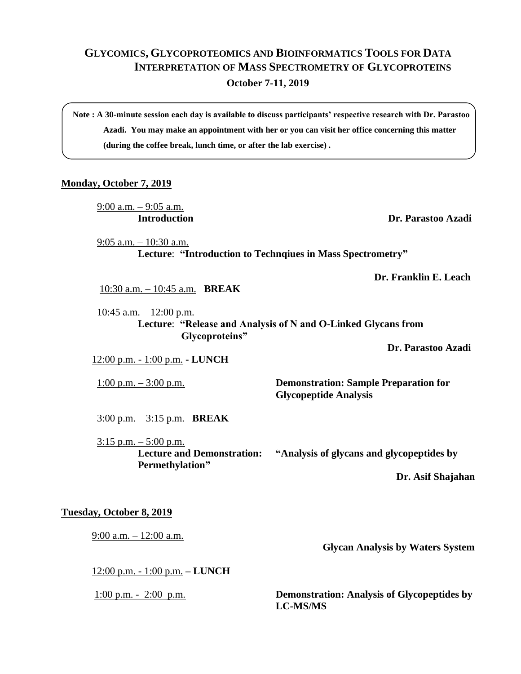## **GLYCOMICS, GLYCOPROTEOMICS AND BIOINFORMATICS TOOLS FOR DATA INTERPRETATION OF MASS SPECTROMETRY OF GLYCOPROTEINS**

**October 7-11, 2019**

**Note : A 30-minute session each day is available to discuss participants' respective research with Dr. Parastoo Azadi. You may make an appointment with her or you can visit her office concerning this matter (during the coffee break, lunch time, or after the lab exercise) .**

## **Monday, October 7, 2019**

9:00 a.m. – 9:05 a.m.

**Introduction Dr. Parastoo Azadi**

 9:05 a.m. – 10:30 a.m. **Lecture**: **"Introduction to Technqiues in Mass Spectrometry"**

**Dr. Franklin E. Leach**

10:30 a.m. – 10:45 a.m. **BREAK**

 $10:45$  a.m.  $-12:00$  p.m. **Lecture**: **"Release and Analysis of N and O-Linked Glycans from Glycoproteins"** 

**Dr. Parastoo Azadi**

12:00 p.m. - 1:00 p.m. **- LUNCH**

1:00 p.m. – 3:00 p.m. **Demonstration: Sample Preparation for Glycopeptide Analysis** 

3:00 p.m. – 3:15 p.m. **BREAK**

 $3:15$  p.m.  $-5:00$  p.m. **Permethylation"**

**Lecture and Demonstration: "Analysis of glycans and glycopeptides by** 

**Dr. Asif Shajahan**

## **Tuesday, October 8, 2019**

9:00 a.m. – 12:00 a.m.

**Glycan Analysis by Waters System**

12:00 p.m. - 1:00 p.m. **– LUNCH**

1:00 p.m. - 2:00 p.m. **Demonstration: Analysis of Glycopeptides by LC-MS/MS**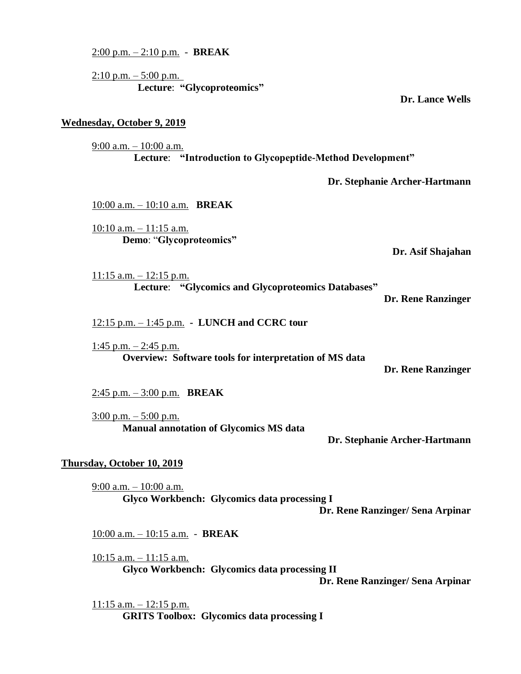**Dr. Stephanie Archer-Hartmann** 10:00 a.m. – 10:10 a.m. **BREAK**  $10:10$  a.m.  $-11:15$  a.m. **Demo**: "**Glycoproteomics" Dr. Asif Shajahan**  $11:15$  a.m.  $-12:15$  p.m. **Lecture**: **"Glycomics and Glycoproteomics Databases" Dr. Rene Ranzinger Overview: Software tools for interpretation of MS data Dr. Rene Ranzinger Manual annotation of Glycomics MS data Dr. Stephanie Archer-Hartmann** 9:00 a.m. – 10:00 a.m. **Glyco Workbench: Glycomics data processing I Dr. Rene Ranzinger/ Sena Arpinar Glyco Workbench: Glycomics data processing II Dr. Rene Ranzinger/ Sena Arpinar**

**Lecture**: **"Introduction to Glycopeptide-Method Development"**

2:00 p.m. – 2:10 p.m. - **BREAK**

**Wednesday, October 9, 2019**

9:00 a.m. – 10:00 a.m.

 $2:10 \text{ p.m.} - 5:00 \text{ p.m.}$ **Lecture**: **"Glycoproteomics"** 

**Dr. Lance Wells**

12:15 p.m. – 1:45 p.m. **- LUNCH and CCRC tour**

 $1:45$  p.m.  $-2:45$  p.m.

2:45 p.m. – 3:00 p.m. **BREAK**

 $3:00$  p.m.  $-5:00$  p.m.

## **Thursday, October 10, 2019**

10:00 a.m. – 10:15 a.m. - **BREAK**

10:15 a.m. – 11:15 a.m.

 $11:15$  a.m.  $-12:15$  p.m. **GRITS Toolbox: Glycomics data processing I**